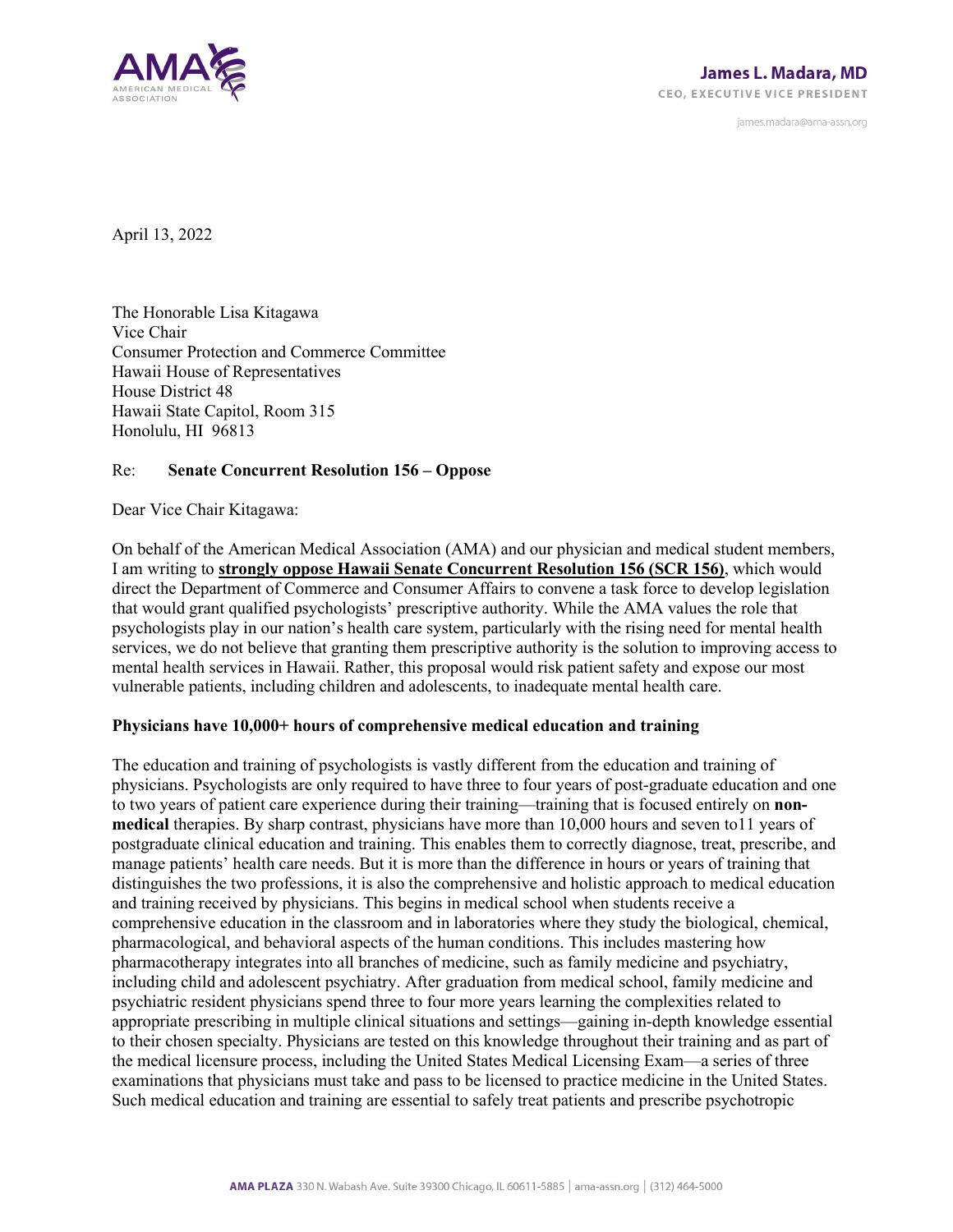

james.madara@ama-assn.org

April 13, 2022

The Honorable Lisa Kitagawa Vice Chair Consumer Protection and Commerce Committee Hawaii House of Representatives House District 48 Hawaii State Capitol, Room 315 Honolulu, HI 96813

## Re: **Senate Concurrent Resolution 156 – Oppose**

Dear Vice Chair Kitagawa:

On behalf of the American Medical Association (AMA) and our physician and medical student members, I am writing to **strongly oppose Hawaii Senate Concurrent Resolution 156 (SCR 156)**, which would direct the Department of Commerce and Consumer Affairs to convene a task force to develop legislation that would grant qualified psychologists' prescriptive authority. While the AMA values the role that psychologists play in our nation's health care system, particularly with the rising need for mental health services, we do not believe that granting them prescriptive authority is the solution to improving access to mental health services in Hawaii. Rather, this proposal would risk patient safety and expose our most vulnerable patients, including children and adolescents, to inadequate mental health care.

## **Physicians have 10,000+ hours of comprehensive medical education and training**

The education and training of psychologists is vastly different from the education and training of physicians. Psychologists are only required to have three to four years of post-graduate education and one to two years of patient care experience during their training—training that is focused entirely on **nonmedical** therapies. By sharp contrast, physicians have more than 10,000 hours and seven to11 years of postgraduate clinical education and training. This enables them to correctly diagnose, treat, prescribe, and manage patients' health care needs. But it is more than the difference in hours or years of training that distinguishes the two professions, it is also the comprehensive and holistic approach to medical education and training received by physicians. This begins in medical school when students receive a comprehensive education in the classroom and in laboratories where they study the biological, chemical, pharmacological, and behavioral aspects of the human conditions. This includes mastering how pharmacotherapy integrates into all branches of medicine, such as family medicine and psychiatry, including child and adolescent psychiatry. After graduation from medical school, family medicine and psychiatric resident physicians spend three to four more years learning the complexities related to appropriate prescribing in multiple clinical situations and settings—gaining in-depth knowledge essential to their chosen specialty. Physicians are tested on this knowledge throughout their training and as part of the medical licensure process, including the United States Medical Licensing Exam—a series of three examinations that physicians must take and pass to be licensed to practice medicine in the United States. Such medical education and training are essential to safely treat patients and prescribe psychotropic